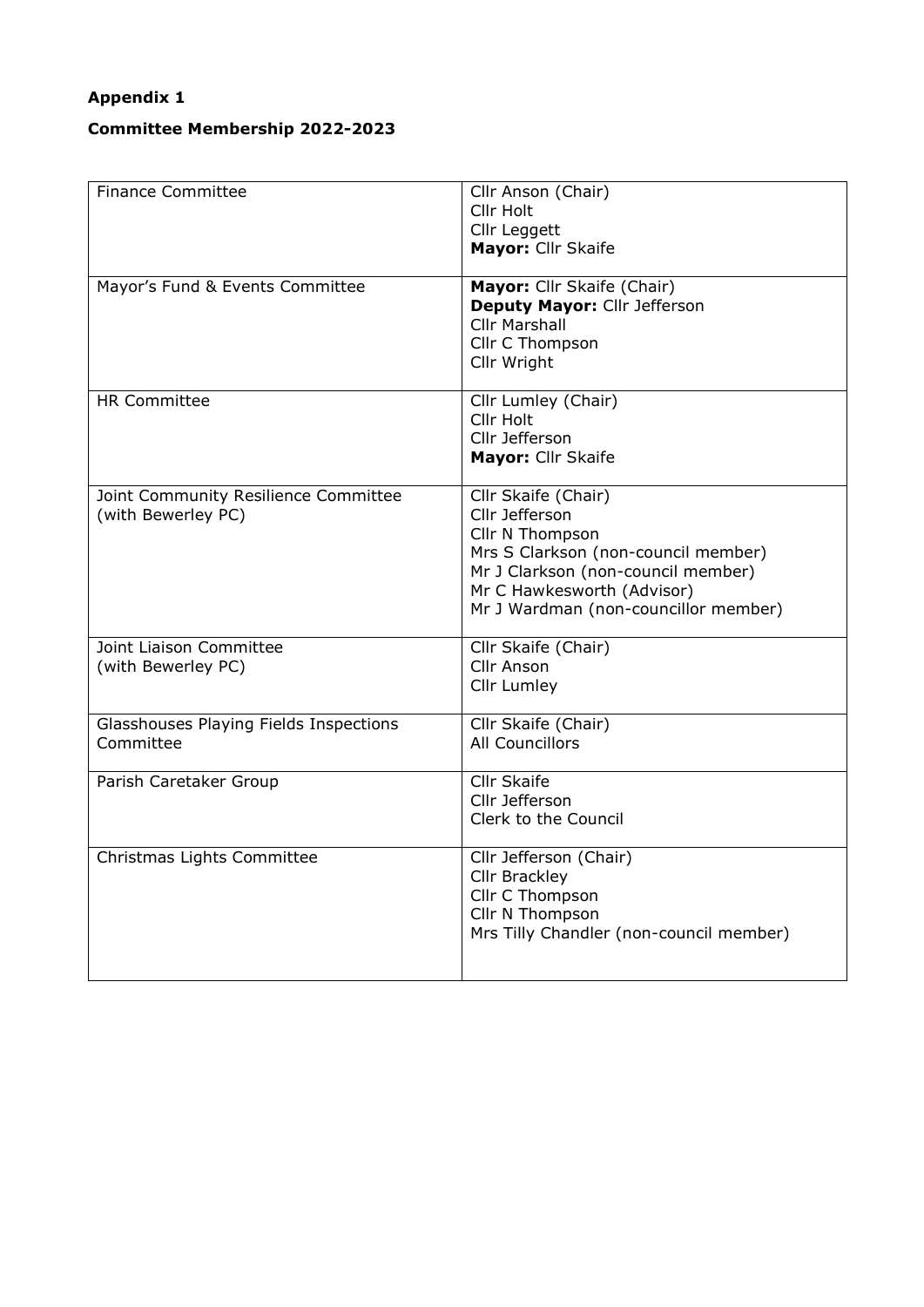## **Appendix 1**

## **Committee Membership 2022-2023**

| <b>Finance Committee</b>               | Cllr Anson (Chair)                      |
|----------------------------------------|-----------------------------------------|
|                                        |                                         |
|                                        | Cllr Holt                               |
|                                        | Cllr Leggett                            |
|                                        | Mayor: Cllr Skaife                      |
|                                        |                                         |
| Mayor's Fund & Events Committee        | Mayor: Cllr Skaife (Chair)              |
|                                        | Deputy Mayor: Cllr Jefferson            |
|                                        | <b>Cllr Marshall</b>                    |
|                                        |                                         |
|                                        | Cllr C Thompson                         |
|                                        | Cllr Wright                             |
|                                        |                                         |
| <b>HR Committee</b>                    | Cllr Lumley (Chair)                     |
|                                        | Cllr Holt                               |
|                                        | Cllr Jefferson                          |
|                                        | Mayor: Cllr Skaife                      |
|                                        |                                         |
| Joint Community Resilience Committee   | Cllr Skaife (Chair)                     |
| (with Bewerley PC)                     | Cllr Jefferson                          |
|                                        |                                         |
|                                        | Cllr N Thompson                         |
|                                        | Mrs S Clarkson (non-council member)     |
|                                        | Mr J Clarkson (non-council member)      |
|                                        | Mr C Hawkesworth (Advisor)              |
|                                        | Mr J Wardman (non-councillor member)    |
|                                        |                                         |
| Joint Liaison Committee                | Cllr Skaife (Chair)                     |
| (with Bewerley PC)                     | Cllr Anson                              |
|                                        | Cllr Lumley                             |
|                                        |                                         |
| Glasshouses Playing Fields Inspections | Cllr Skaife (Chair)                     |
| Committee                              | <b>All Councillors</b>                  |
|                                        |                                         |
| Parish Caretaker Group                 | <b>Cllr Skaife</b>                      |
|                                        | Cllr Jefferson                          |
|                                        | Clerk to the Council                    |
|                                        |                                         |
| Christmas Lights Committee             | Cllr Jefferson (Chair)                  |
|                                        | Cllr Brackley                           |
|                                        |                                         |
|                                        | Cllr C Thompson                         |
|                                        | Cllr N Thompson                         |
|                                        | Mrs Tilly Chandler (non-council member) |
|                                        |                                         |
|                                        |                                         |